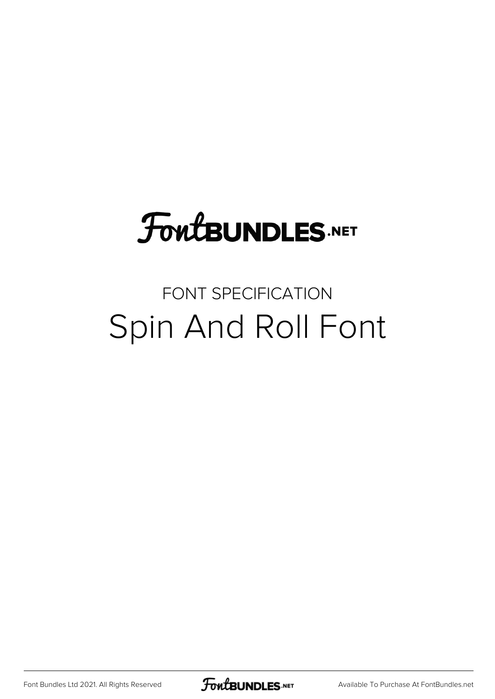# **FoutBUNDLES.NET**

## FONT SPECIFICATION Spin And Roll Font

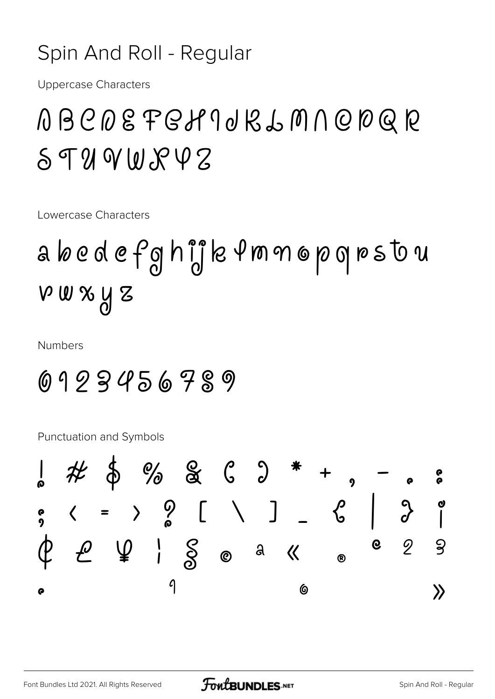#### Spin And Roll - Regular

**Uppercase Characters** 

## ABCDEFGH 9 0 KLM N Q D Q R  $598000777$

Lowercase Characters

# a bedefghijk from opgrstou  $V$  W  $X$   $M$   $Z$

**Numbers** 

### 0123456789

**Punctuation and Symbols** 

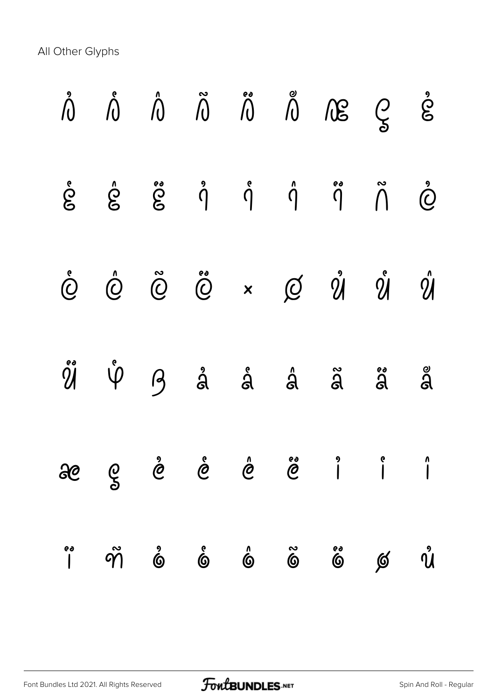All Other Glyphs

|         |                       |                          |                                                                                                             |                         |                      | $\mathring{\bigwedge}\quad\mathring{\bigwedge}\quad\mathring{\bigwedge}\quad\mathring{\bigwedge}\quad\mathring{\bigwedge}\quad\mathring{\bigwedge}\quad\mathring{\bigwedge}\quad\mathring{\bigwedge}\quad\mathring{\bigwedge}\quad\mathring{\bigotimes}\quad\mathring{\bigtriangleup}\quad\mathring{\bigtriangleup}$                                                                                            |                         |                          |
|---------|-----------------------|--------------------------|-------------------------------------------------------------------------------------------------------------|-------------------------|----------------------|-----------------------------------------------------------------------------------------------------------------------------------------------------------------------------------------------------------------------------------------------------------------------------------------------------------------------------------------------------------------------------------------------------------------|-------------------------|--------------------------|
|         |                       |                          |                                                                                                             |                         |                      | $\dot{\mathcal{E}}$ $\dot{\mathcal{E}}$ $\dot{\mathcal{E}}$ $\dot{\mathcal{E}}$ $\dot{\mathcal{S}}$ $\dot{\mathcal{S}}$ $\dot{\mathcal{S}}$ $\dot{\mathcal{S}}$ $\dot{\mathcal{S}}$ $\dot{\mathcal{S}}$ $\dot{\mathcal{S}}$ $\dot{\mathcal{S}}$ $\dot{\mathcal{S}}$ $\dot{\mathcal{S}}$ $\dot{\mathcal{S}}$ $\dot{\mathcal{S}}$ $\dot{\mathcal{S}}$ $\dot{\mathcal{S}}$ $\dot{\mathcal{S}}$ $\dot{\mathcal{S}}$ |                         |                          |
|         |                       |                          |                                                                                                             |                         |                      | $\label{eq:2.1} \begin{array}{ccccccccccccc} \bullet & \hat{\mathbb{O}} & \hat{\mathbb{O}} & \tilde{\mathbb{O}} & \times & \mathbb{O} & \mathbb{O} & \mathbb{O} & \mathbb{O} & \mathbb{O} \end{array}$                                                                                                                                                                                                          |                         |                          |
|         |                       |                          |                                                                                                             |                         |                      | $\H\circ \H\circ \qquad \qquad \circ$ $\qquad \circ$ $\qquad \circ$ $\circ$ $\circ$ $\circ$ $\circ$ $\circ$ $\circ$ $\circ$                                                                                                                                                                                                                                                                                     |                         |                          |
| 80      | $\frac{6}{5}$         | $\mathring{\mathcal{C}}$ | $\stackrel{\ \circ}{\mathcal{C}}\quad \stackrel{\ \circ}{\mathcal{C}}\quad \stackrel{\ \circ}{\mathcal{C}}$ |                         |                      | $\begin{matrix} 9 & & 8 \\ & & 1 \end{matrix}$                                                                                                                                                                                                                                                                                                                                                                  |                         | $\int$                   |
| ea<br>' | $\tilde{\mathcal{P}}$ | $\hat{\mathbf{G}}$       | $\hat{\mathbf{G}}$                                                                                          | $\hat{\mathbf{\Theta}}$ | $\tilde{\mathbf{6}}$ | e<br>0                                                                                                                                                                                                                                                                                                                                                                                                          | $\cancel{\mathfrak{G}}$ | $\mathring{\mathcal{U}}$ |